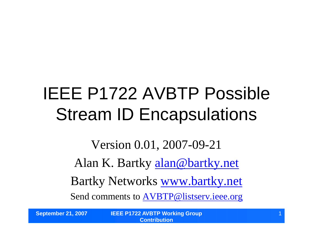# IEEE P1722 AVBTP Possible Stream ID Encapsulations

Version 0.01, 2007-09-21 Alan K. Bartky alan@bartky.net Bartky Networks www.bartky.net Send comments to AVBTP@listserv.ieee.org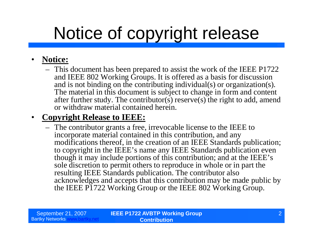# Notice of copyright release

#### • **Notice:**

– This document has been prepared to assist the work of the IEEE P1722 and IEEE 802 Working Groups. It is offered as a basis for discussion and is not binding on the contributing individual(s) or organization(s). The material in this document is subject to change in form and content after further study. The contributor(s) reserve(s) the right to add, amend or withdraw material contained herein.

#### • **Copyright Release to IEEE:**

– The contributor grants a free, irrevocable license to the IEEE to incorporate material contained in this contribution, and any modifications thereof, in the creation of an IEEE Standards publication; to copyright in the IEEE's name any IEEE Standards publication even though it may include portions of this contribution; and at the IEEE's sole discretion to permit others to reproduce in whole or in part the resulting IEEE Standards publication. The contributor also acknowledges and accepts that this contribution may be made public by the IEEE P1722 Working Group or the IEEE 802 Working Group.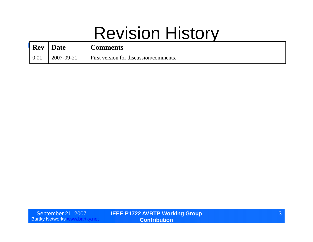## Revision History

| <b>Rev</b> | <b>Date</b> | Comments                               |
|------------|-------------|----------------------------------------|
| 0.01       | 2007-09-21  | First version for discussion/comments. |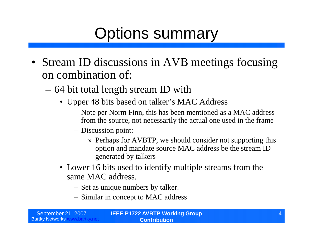## Options summary

- Stream ID discussions in AVB meetings focusing on combination of:
	- –64 bit total length stream ID with
		- Upper 48 bits based on talker's MAC Address
			- Note per Norm Finn, this has been mentioned as a MAC address from the source, not necessarily the actual one used in the frame
			- Discussion point:
				- » Perhaps for AVBTP, we should consider not supporting this option and mandate source MAC address be the stream ID generated by talkers
		- •Lower 16 bits used to identify multiple streams from the same MAC address.
			- Set as unique numbers by talker.
			- Similar in concept to MAC address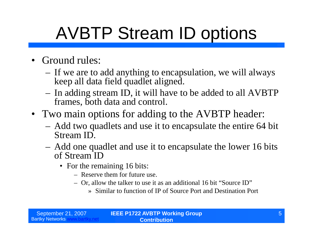# AVBTP Stream ID options

- Ground rules:
	- If we are to add anything to encapsulation, we will always keep all data field quadlet aligned.
	- In adding stream ID, it will have to be added to all AVBTP frames, both data and control.
- Two main options for adding to the AVBTP header:
	- Add two quadlets and use it to encapsulate the entire 64 bit Stream ID.
	- Add one quadlet and use it to encapsulate the lower 16 bits of Stream ID
		- For the remaining 16 bits:
			- Reserve them for future use.
			- Or, allow the talker to use it as an additional 16 bit "Source ID"
				- » Similar to function of IP of Source Port and Destination Port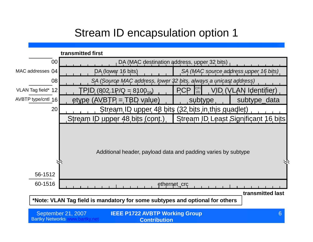### Stream ID encapsulation option 1